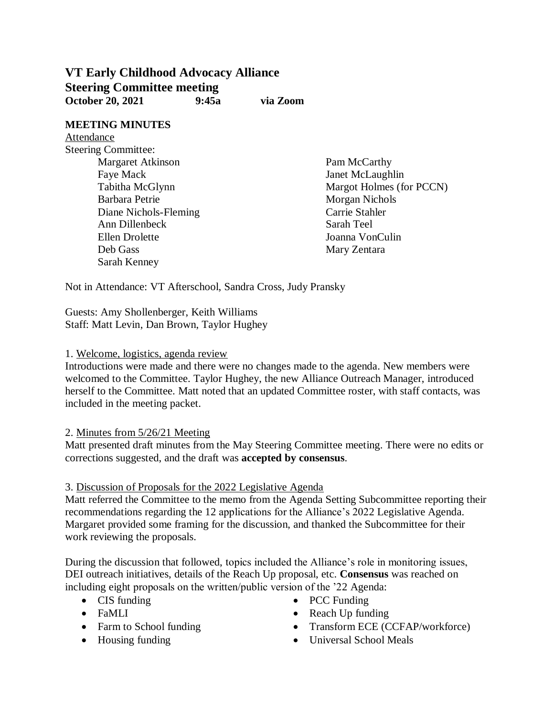# **VT Early Childhood Advocacy Alliance Steering Committee meeting October 20, 2021 9:45a via Zoom**

#### **MEETING MINUTES** Attendance

Steering Committee: Margaret Atkinson Faye Mack Tabitha McGlynn Barbara Petrie Diane Nichols-Fleming Ann Dillenbeck Ellen Drolette Deb Gass Sarah Kenney

Pam McCarthy Janet McLaughlin Margot Holmes (for PCCN) Morgan Nichols Carrie Stahler Sarah Teel Joanna VonCulin Mary Zentara

Not in Attendance: VT Afterschool, Sandra Cross, Judy Pransky

Guests: Amy Shollenberger, Keith Williams Staff: Matt Levin, Dan Brown, Taylor Hughey

## 1. Welcome, logistics, agenda review

Introductions were made and there were no changes made to the agenda. New members were welcomed to the Committee. Taylor Hughey, the new Alliance Outreach Manager, introduced herself to the Committee. Matt noted that an updated Committee roster, with staff contacts, was included in the meeting packet.

# 2. Minutes from 5/26/21 Meeting

Matt presented draft minutes from the May Steering Committee meeting. There were no edits or corrections suggested, and the draft was **accepted by consensus**.

#### 3. Discussion of Proposals for the 2022 Legislative Agenda

Matt referred the Committee to the memo from the Agenda Setting Subcommittee reporting their recommendations regarding the 12 applications for the Alliance's 2022 Legislative Agenda. Margaret provided some framing for the discussion, and thanked the Subcommittee for their work reviewing the proposals.

During the discussion that followed, topics included the Alliance's role in monitoring issues, DEI outreach initiatives, details of the Reach Up proposal, etc. **Consensus** was reached on including eight proposals on the written/public version of the '22 Agenda:

- CIS funding
- FaMLI
- Farm to School funding
- Housing funding
- PCC Funding
- Reach Up funding
- Transform ECE (CCFAP/workforce)
- Universal School Meals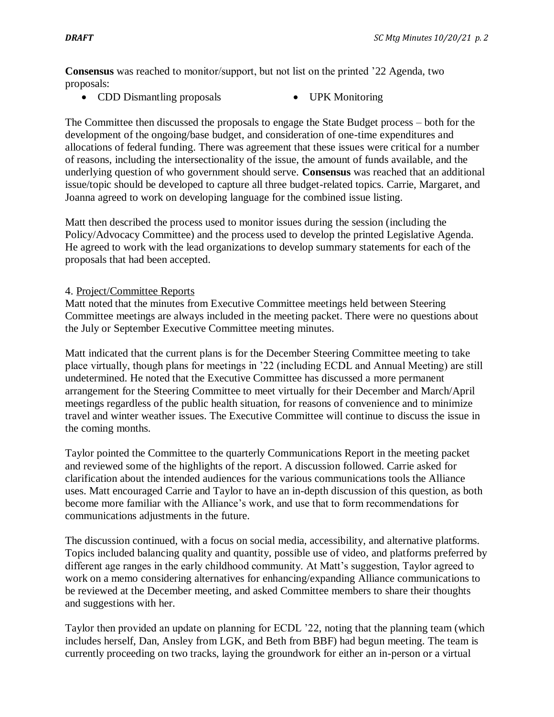**Consensus** was reached to monitor/support, but not list on the printed '22 Agenda, two proposals:

- CDD Dismantling proposals UPK Monitoring
- 

The Committee then discussed the proposals to engage the State Budget process – both for the development of the ongoing/base budget, and consideration of one-time expenditures and allocations of federal funding. There was agreement that these issues were critical for a number of reasons, including the intersectionality of the issue, the amount of funds available, and the underlying question of who government should serve. **Consensus** was reached that an additional issue/topic should be developed to capture all three budget-related topics. Carrie, Margaret, and Joanna agreed to work on developing language for the combined issue listing.

Matt then described the process used to monitor issues during the session (including the Policy/Advocacy Committee) and the process used to develop the printed Legislative Agenda. He agreed to work with the lead organizations to develop summary statements for each of the proposals that had been accepted.

### 4. Project/Committee Reports

Matt noted that the minutes from Executive Committee meetings held between Steering Committee meetings are always included in the meeting packet. There were no questions about the July or September Executive Committee meeting minutes.

Matt indicated that the current plans is for the December Steering Committee meeting to take place virtually, though plans for meetings in '22 (including ECDL and Annual Meeting) are still undetermined. He noted that the Executive Committee has discussed a more permanent arrangement for the Steering Committee to meet virtually for their December and March/April meetings regardless of the public health situation, for reasons of convenience and to minimize travel and winter weather issues. The Executive Committee will continue to discuss the issue in the coming months.

Taylor pointed the Committee to the quarterly Communications Report in the meeting packet and reviewed some of the highlights of the report. A discussion followed. Carrie asked for clarification about the intended audiences for the various communications tools the Alliance uses. Matt encouraged Carrie and Taylor to have an in-depth discussion of this question, as both become more familiar with the Alliance's work, and use that to form recommendations for communications adjustments in the future.

The discussion continued, with a focus on social media, accessibility, and alternative platforms. Topics included balancing quality and quantity, possible use of video, and platforms preferred by different age ranges in the early childhood community. At Matt's suggestion, Taylor agreed to work on a memo considering alternatives for enhancing/expanding Alliance communications to be reviewed at the December meeting, and asked Committee members to share their thoughts and suggestions with her.

Taylor then provided an update on planning for ECDL '22, noting that the planning team (which includes herself, Dan, Ansley from LGK, and Beth from BBF) had begun meeting. The team is currently proceeding on two tracks, laying the groundwork for either an in-person or a virtual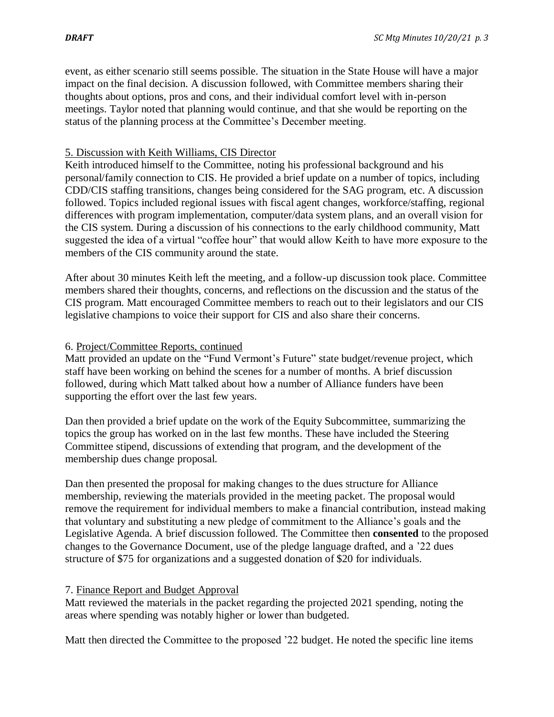event, as either scenario still seems possible. The situation in the State House will have a major impact on the final decision. A discussion followed, with Committee members sharing their thoughts about options, pros and cons, and their individual comfort level with in-person meetings. Taylor noted that planning would continue, and that she would be reporting on the status of the planning process at the Committee's December meeting.

### 5. Discussion with Keith Williams, CIS Director

Keith introduced himself to the Committee, noting his professional background and his personal/family connection to CIS. He provided a brief update on a number of topics, including CDD/CIS staffing transitions, changes being considered for the SAG program, etc. A discussion followed. Topics included regional issues with fiscal agent changes, workforce/staffing, regional differences with program implementation, computer/data system plans, and an overall vision for the CIS system. During a discussion of his connections to the early childhood community, Matt suggested the idea of a virtual "coffee hour" that would allow Keith to have more exposure to the members of the CIS community around the state.

After about 30 minutes Keith left the meeting, and a follow-up discussion took place. Committee members shared their thoughts, concerns, and reflections on the discussion and the status of the CIS program. Matt encouraged Committee members to reach out to their legislators and our CIS legislative champions to voice their support for CIS and also share their concerns.

### 6. Project/Committee Reports, continued

Matt provided an update on the "Fund Vermont's Future" state budget/revenue project, which staff have been working on behind the scenes for a number of months. A brief discussion followed, during which Matt talked about how a number of Alliance funders have been supporting the effort over the last few years.

Dan then provided a brief update on the work of the Equity Subcommittee, summarizing the topics the group has worked on in the last few months. These have included the Steering Committee stipend, discussions of extending that program, and the development of the membership dues change proposal.

Dan then presented the proposal for making changes to the dues structure for Alliance membership, reviewing the materials provided in the meeting packet. The proposal would remove the requirement for individual members to make a financial contribution, instead making that voluntary and substituting a new pledge of commitment to the Alliance's goals and the Legislative Agenda. A brief discussion followed. The Committee then **consented** to the proposed changes to the Governance Document, use of the pledge language drafted, and a '22 dues structure of \$75 for organizations and a suggested donation of \$20 for individuals.

#### 7. Finance Report and Budget Approval

Matt reviewed the materials in the packet regarding the projected 2021 spending, noting the areas where spending was notably higher or lower than budgeted.

Matt then directed the Committee to the proposed '22 budget. He noted the specific line items